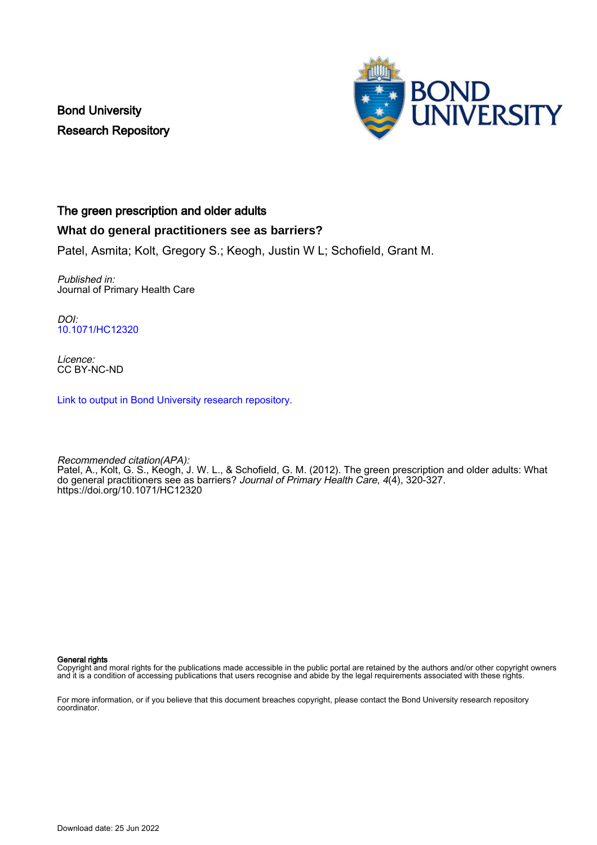Bond University Research Repository



## The green prescription and older adults

## **What do general practitioners see as barriers?**

Patel, Asmita; Kolt, Gregory S.; Keogh, Justin W L; Schofield, Grant M.

Published in: Journal of Primary Health Care

DOI: [10.1071/HC12320](https://doi.org/10.1071/HC12320)

Licence: CC BY-NC-ND

[Link to output in Bond University research repository.](https://research.bond.edu.au/en/publications/8dbef5eb-3a55-42c4-9263-03d82368537c)

Recommended citation(APA): Patel, A., Kolt, G. S., Keogh, J. W. L., & Schofield, G. M. (2012). The green prescription and older adults: What do general practitioners see as barriers? Journal of Primary Health Care, 4(4), 320-327. <https://doi.org/10.1071/HC12320>

#### General rights

Copyright and moral rights for the publications made accessible in the public portal are retained by the authors and/or other copyright owners and it is a condition of accessing publications that users recognise and abide by the legal requirements associated with these rights.

For more information, or if you believe that this document breaches copyright, please contact the Bond University research repository coordinator.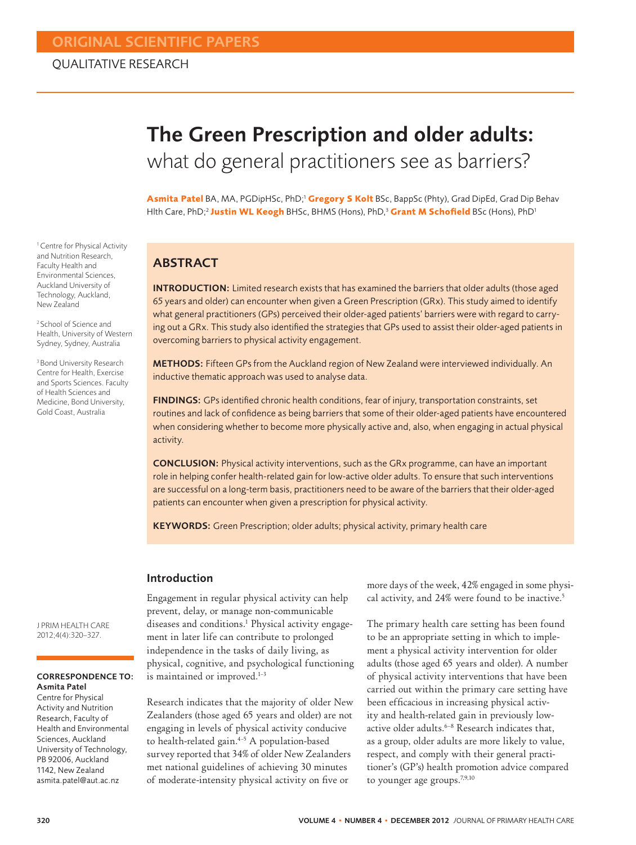# The Green Prescription and older adults: what do general practitioners see as barriers?

**Asmita Patel** BA, MA, PGDipHSc, PhD;1 **Gregory S Kolt** BSc, BappSc (Phty), Grad DipEd, Grad Dip Behav Hlth Care, PhD;<sup>2</sup> Justin WL Keogh BHSc, BHMS (Hons), PhD,<sup>3</sup> Grant M Schofield BSc (Hons), PhD<sup>1</sup>

## ABSTRACT

INTRODUCTION: Limited research exists that has examined the barriers that older adults (those aged 65 years and older) can encounter when given a Green Prescription (GRx). This study aimed to identify what general practitioners (GPs) perceived their older-aged patients' barriers were with regard to carrying out a GRx. This study also identified the strategies that GPs used to assist their older-aged patients in overcoming barriers to physical activity engagement.

METHODS: Fifteen GPs from the Auckland region of New Zealand were interviewed individually. An inductive thematic approach was used to analyse data.

FINDINGS: GPs identified chronic health conditions, fear of injury, transportation constraints, set routines and lack of confidence as being barriers that some of their older-aged patients have encountered when considering whether to become more physically active and, also, when engaging in actual physical activity.

CONCLUSION: Physical activity interventions, such as the GRx programme, can have an important role in helping confer health-related gain for low-active older adults. To ensure that such interventions are successful on a long-term basis, practitioners need to be aware of the barriers that their older-aged patients can encounter when given a prescription for physical activity.

KEYWORDS: Green Prescription; older adults; physical activity, primary health care

#### Introduction

Engagement in regular physical activity can help prevent, delay, or manage non-communicable diseases and conditions.<sup>1</sup> Physical activity engagement in later life can contribute to prolonged independence in the tasks of daily living, as physical, cognitive, and psychological functioning is maintained or improved.<sup>1-3</sup>

Research indicates that the majority of older New Zealanders (those aged 65 years and older) are not engaging in levels of physical activity conducive to health-related gain.<sup>4-5</sup> A population-based survey reported that 34% of older New Zealanders met national guidelines of achieving 30 minutes of moderate-intensity physical activity on five or

more days of the week, 42% engaged in some physical activity, and 24% were found to be inactive.<sup>5</sup>

The primary health care setting has been found to be an appropriate setting in which to implement a physical activity intervention for older adults (those aged 65 years and older). A number of physical activity interventions that have been carried out within the primary care setting have been efficacious in increasing physical activity and health-related gain in previously lowactive older adults.<sup>6-8</sup> Research indicates that, as a group, older adults are more likely to value, respect, and comply with their general practitioner's (GP's) health promotion advice compared to younger age groups.<sup>7,9,10</sup>

<sup>1</sup> Centre for Physical Activity and Nutrition Research, Faculty Health and Environmental Sciences, Auckland University of Technology, Auckland, New Zealand

2 School of Science and Health, University of Western Sydney, Sydney, Australia

<sup>3</sup> Bond University Research Centre for Health, Exercise and Sports Sciences. Faculty of Health Sciences and Medicine, Bond University, Gold Coast, Australia

J PRIM HEALTH CARE 2012;4(4):320–327.

#### CORRESPONDENCE TO: Asmita Patel

Centre for Physical Activity and Nutrition Research, Faculty of Health and Environmental Sciences, Auckland University of Technology, PB 92006, Auckland 1142, New Zealand asmita.patel@aut.ac.nz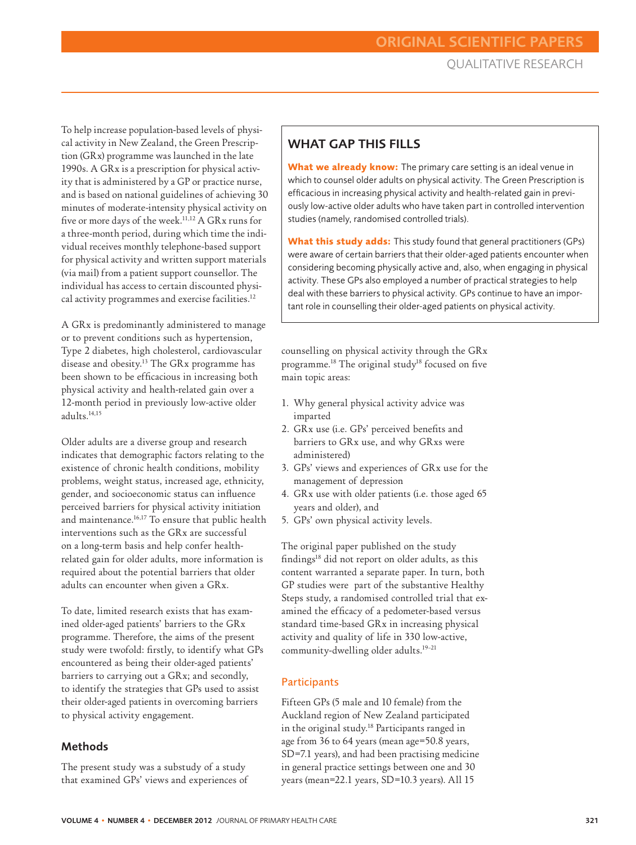To help increase population-based levels of physical activity in New Zealand, the Green Prescription (GRx) programme was launched in the late 1990s. A GRx is a prescription for physical activity that is administered by a GP or practice nurse, and is based on national guidelines of achieving 30 minutes of moderate-intensity physical activity on five or more days of the week.<sup>11,12</sup> A GRx runs for a three-month period, during which time the individual receives monthly telephone-based support for physical activity and written support materials (via mail) from a patient support counsellor. The individual has access to certain discounted physical activity programmes and exercise facilities.12

A GRx is predominantly administered to manage or to prevent conditions such as hypertension, Type 2 diabetes, high cholesterol, cardiovascular disease and obesity.13 The GRx programme has been shown to be efficacious in increasing both physical activity and health-related gain over a 12-month period in previously low-active older adults.14,15

Older adults are a diverse group and research indicates that demographic factors relating to the existence of chronic health conditions, mobility problems, weight status, increased age, ethnicity, gender, and socioeconomic status can influence perceived barriers for physical activity initiation and maintenance.<sup>16,17</sup> To ensure that public health interventions such as the GRx are successful on a long-term basis and help confer healthrelated gain for older adults, more information is required about the potential barriers that older adults can encounter when given a GRx.

To date, limited research exists that has examined older-aged patients' barriers to the GRx programme. Therefore, the aims of the present study were twofold: firstly, to identify what GPs encountered as being their older-aged patients' barriers to carrying out a GRx; and secondly, to identify the strategies that GPs used to assist their older-aged patients in overcoming barriers to physical activity engagement.

#### **Methods**

The present study was a substudy of a study that examined GPs' views and experiences of

# WHAT GAP THIS FILLS

**What we already know:** The primary care setting is an ideal venue in which to counsel older adults on physical activity. The Green Prescription is efficacious in increasing physical activity and health-related gain in previously low-active older adults who have taken part in controlled intervention studies (namely, randomised controlled trials).

**What this study adds:** This study found that general practitioners (GPs) were aware of certain barriers that their older-aged patients encounter when considering becoming physically active and, also, when engaging in physical activity. These GPs also employed a number of practical strategies to help deal with these barriers to physical activity. GPs continue to have an important role in counselling their older-aged patients on physical activity.

counselling on physical activity through the GRx programme.<sup>18</sup> The original study<sup>18</sup> focused on five main topic areas:

- 1. Why general physical activity advice was imparted
- 2. GRx use (i.e. GPs' perceived benefits and barriers to GRx use, and why GRxs were administered)
- 3. GPs' views and experiences of GRx use for the management of depression
- 4. GRx use with older patients (i.e. those aged 65 years and older), and
- 5. GPs' own physical activity levels.

The original paper published on the study findings18 did not report on older adults, as this content warranted a separate paper. In turn, both GP studies were part of the substantive Healthy Steps study, a randomised controlled trial that examined the efficacy of a pedometer-based versus standard time-based GRx in increasing physical activity and quality of life in 330 low-active, community-dwelling older adults.<sup>19-21</sup>

#### **Participants**

Fifteen GPs (5 male and 10 female) from the Auckland region of New Zealand participated in the original study.18 Participants ranged in age from 36 to 64 years (mean age=50.8 years, SD=7.1 years), and had been practising medicine in general practice settings between one and 30 years (mean=22.1 years, SD=10.3 years). All 15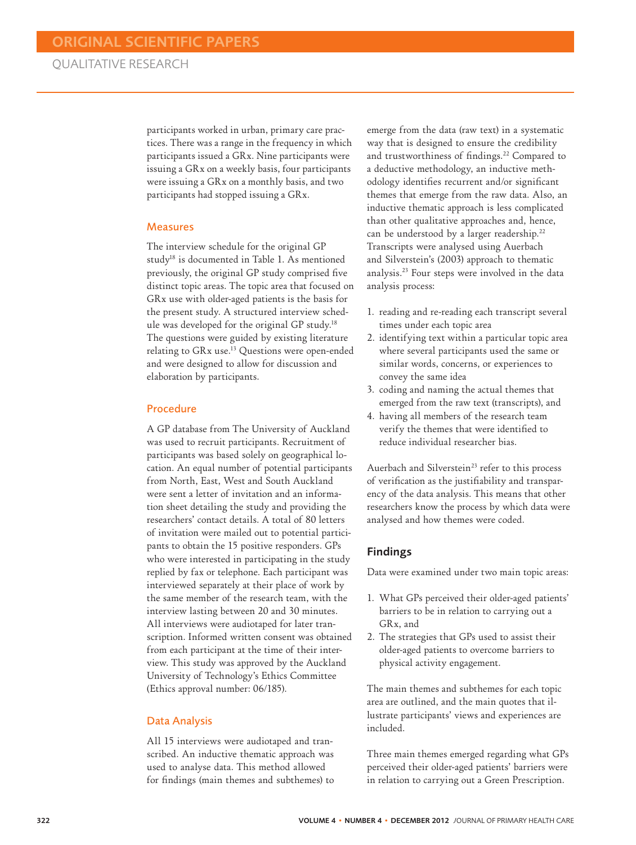participants worked in urban, primary care practices. There was a range in the frequency in which participants issued a GRx. Nine participants were issuing a GRx on a weekly basis, four participants were issuing a GRx on a monthly basis, and two participants had stopped issuing a GRx.

#### Measures

The interview schedule for the original GP study18 is documented in Table 1. As mentioned previously, the original GP study comprised five distinct topic areas. The topic area that focused on GRx use with older-aged patients is the basis for the present study. A structured interview schedule was developed for the original GP study.18 The questions were guided by existing literature relating to GRx use.13 Questions were open-ended and were designed to allow for discussion and elaboration by participants.

#### Procedure

A GP database from The University of Auckland was used to recruit participants. Recruitment of participants was based solely on geographical location. An equal number of potential participants from North, East, West and South Auckland were sent a letter of invitation and an information sheet detailing the study and providing the researchers' contact details. A total of 80 letters of invitation were mailed out to potential participants to obtain the 15 positive responders. GPs who were interested in participating in the study replied by fax or telephone. Each participant was interviewed separately at their place of work by the same member of the research team, with the interview lasting between 20 and 30 minutes. All interviews were audiotaped for later transcription. Informed written consent was obtained from each participant at the time of their interview. This study was approved by the Auckland University of Technology's Ethics Committee (Ethics approval number: 06/185).

#### Data Analysis

All 15 interviews were audiotaped and transcribed. An inductive thematic approach was used to analyse data. This method allowed for findings (main themes and subthemes) to emerge from the data (raw text) in a systematic way that is designed to ensure the credibility and trustworthiness of findings.22 Compared to a deductive methodology, an inductive methodology identifies recurrent and/or significant themes that emerge from the raw data. Also, an inductive thematic approach is less complicated than other qualitative approaches and, hence, can be understood by a larger readership.<sup>22</sup> Transcripts were analysed using Auerbach and Silverstein's (2003) approach to thematic analysis.23 Four steps were involved in the data analysis process:

- 1. reading and re-reading each transcript several times under each topic area
- 2. identifying text within a particular topic area where several participants used the same or similar words, concerns, or experiences to convey the same idea
- 3. coding and naming the actual themes that emerged from the raw text (transcripts), and
- 4. having all members of the research team verify the themes that were identified to reduce individual researcher bias.

Auerbach and Silverstein<sup>23</sup> refer to this process of verification as the justifiability and transparency of the data analysis. This means that other researchers know the process by which data were analysed and how themes were coded.

#### Findings

Data were examined under two main topic areas:

- 1. What GPs perceived their older-aged patients' barriers to be in relation to carrying out a GRx, and
- 2. The strategies that GPs used to assist their older-aged patients to overcome barriers to physical activity engagement.

The main themes and subthemes for each topic area are outlined, and the main quotes that illustrate participants' views and experiences are included.

Three main themes emerged regarding what GPs perceived their older-aged patients' barriers were in relation to carrying out a Green Prescription.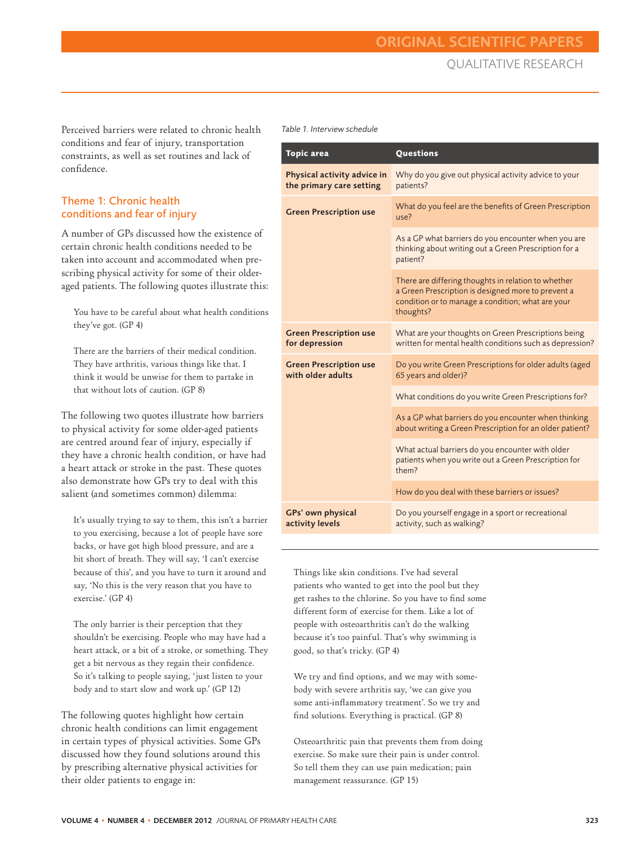Perceived barriers were related to chronic health conditions and fear of injury, transportation constraints, as well as set routines and lack of confidence.

### Theme 1: Chronic health conditions and fear of injury

A number of GPs discussed how the existence of certain chronic health conditions needed to be taken into account and accommodated when prescribing physical activity for some of their olderaged patients. The following quotes illustrate this:

You have to be careful about what health conditions they've got. (GP 4)

There are the barriers of their medical condition. They have arthritis, various things like that. I think it would be unwise for them to partake in that without lots of caution. (GP 8)

The following two quotes illustrate how barriers to physical activity for some older-aged patients are centred around fear of injury, especially if they have a chronic health condition, or have had a heart attack or stroke in the past. These quotes also demonstrate how GPs try to deal with this salient (and sometimes common) dilemma:

It's usually trying to say to them, this isn't a barrier to you exercising, because a lot of people have sore backs, or have got high blood pressure, and are a bit short of breath. They will say, 'I can't exercise because of this', and you have to turn it around and say, 'No this is the very reason that you have to exercise.' (GP 4)

The only barrier is their perception that they shouldn't be exercising. People who may have had a heart attack, or a bit of a stroke, or something. They get a bit nervous as they regain their confidence. So it's talking to people saying, 'just listen to your body and to start slow and work up.' (GP 12)

The following quotes highlight how certain chronic health conditions can limit engagement in certain types of physical activities. Some GPs discussed how they found solutions around this by prescribing alternative physical activities for their older patients to engage in:

*Table 1. Interview schedule*

| <b>Topic</b> area                                       | Questions                                                                                                                                                                   |
|---------------------------------------------------------|-----------------------------------------------------------------------------------------------------------------------------------------------------------------------------|
| Physical activity advice in<br>the primary care setting | Why do you give out physical activity advice to your<br>patients?                                                                                                           |
| <b>Green Prescription use</b>                           | What do you feel are the benefits of Green Prescription<br>use?                                                                                                             |
|                                                         | As a GP what barriers do you encounter when you are<br>thinking about writing out a Green Prescription for a<br>patient?                                                    |
|                                                         | There are differing thoughts in relation to whether<br>a Green Prescription is designed more to prevent a<br>condition or to manage a condition; what are your<br>thoughts? |
| <b>Green Prescription use</b><br>for depression         | What are your thoughts on Green Prescriptions being<br>written for mental health conditions such as depression?                                                             |
| <b>Green Prescription use</b><br>with older adults      | Do you write Green Prescriptions for older adults (aged<br>65 years and older)?                                                                                             |
|                                                         | What conditions do you write Green Prescriptions for?                                                                                                                       |
|                                                         | As a GP what barriers do you encounter when thinking<br>about writing a Green Prescription for an older patient?                                                            |
|                                                         | What actual barriers do you encounter with older<br>patients when you write out a Green Prescription for<br>them?                                                           |
|                                                         | How do you deal with these barriers or issues?                                                                                                                              |
| GPs' own physical<br>activity levels                    | Do you yourself engage in a sport or recreational<br>activity, such as walking?                                                                                             |

Things like skin conditions. I've had several patients who wanted to get into the pool but they get rashes to the chlorine. So you have to find some different form of exercise for them. Like a lot of people with osteoarthritis can't do the walking because it's too painful. That's why swimming is good, so that's tricky. (GP 4)

We try and find options, and we may with somebody with severe arthritis say, 'we can give you some anti-inflammatory treatment'. So we try and find solutions. Everything is practical. (GP 8)

Osteoarthritic pain that prevents them from doing exercise. So make sure their pain is under control. So tell them they can use pain medication; pain management reassurance. (GP 15)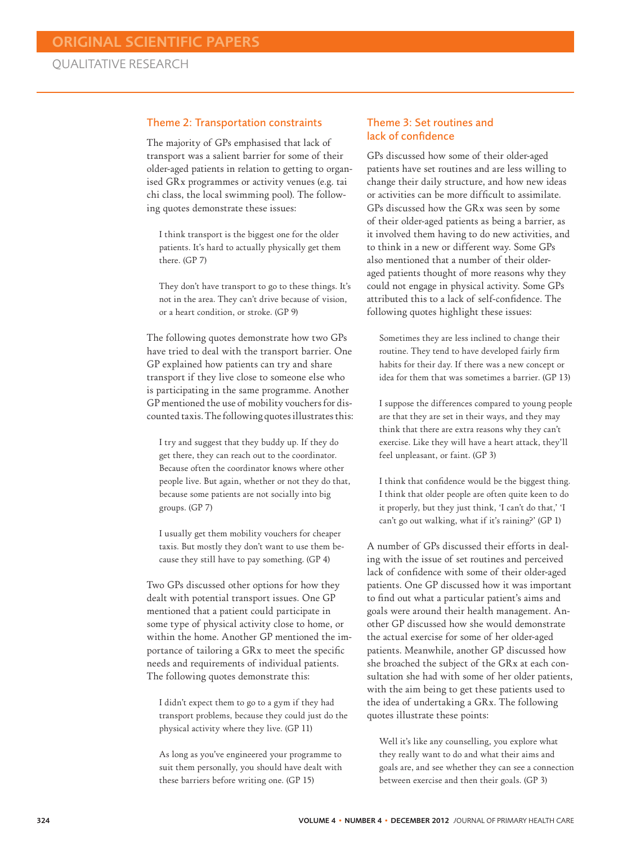#### Theme 2: Transportation constraints

The majority of GPs emphasised that lack of transport was a salient barrier for some of their older-aged patients in relation to getting to organised GRx programmes or activity venues (e.g. tai chi class, the local swimming pool). The following quotes demonstrate these issues:

I think transport is the biggest one for the older patients. It's hard to actually physically get them there. (GP 7)

They don't have transport to go to these things. It's not in the area. They can't drive because of vision, or a heart condition, or stroke. (GP 9)

The following quotes demonstrate how two GPs have tried to deal with the transport barrier. One GP explained how patients can try and share transport if they live close to someone else who is participating in the same programme. Another GP mentioned the use of mobility vouchers for discounted taxis. The following quotes illustrates this:

I try and suggest that they buddy up. If they do get there, they can reach out to the coordinator. Because often the coordinator knows where other people live. But again, whether or not they do that, because some patients are not socially into big groups. (GP 7)

I usually get them mobility vouchers for cheaper taxis. But mostly they don't want to use them because they still have to pay something. (GP 4)

Two GPs discussed other options for how they dealt with potential transport issues. One GP mentioned that a patient could participate in some type of physical activity close to home, or within the home. Another GP mentioned the importance of tailoring a GRx to meet the specific needs and requirements of individual patients. The following quotes demonstrate this:

I didn't expect them to go to a gym if they had transport problems, because they could just do the physical activity where they live. (GP 11)

As long as you've engineered your programme to suit them personally, you should have dealt with these barriers before writing one. (GP 15)

#### Theme 3: Set routines and lack of confidence

GPs discussed how some of their older-aged patients have set routines and are less willing to change their daily structure, and how new ideas or activities can be more difficult to assimilate. GPs discussed how the GRx was seen by some of their older-aged patients as being a barrier, as it involved them having to do new activities, and to think in a new or different way. Some GPs also mentioned that a number of their olderaged patients thought of more reasons why they could not engage in physical activity. Some GPs attributed this to a lack of self-confidence. The following quotes highlight these issues:

Sometimes they are less inclined to change their routine. They tend to have developed fairly firm habits for their day. If there was a new concept or idea for them that was sometimes a barrier. (GP 13)

I suppose the differences compared to young people are that they are set in their ways, and they may think that there are extra reasons why they can't exercise. Like they will have a heart attack, they'll feel unpleasant, or faint. (GP 3)

I think that confidence would be the biggest thing. I think that older people are often quite keen to do it properly, but they just think, 'I can't do that,' 'I can't go out walking, what if it's raining?' (GP 1)

A number of GPs discussed their efforts in dealing with the issue of set routines and perceived lack of confidence with some of their older-aged patients. One GP discussed how it was important to find out what a particular patient's aims and goals were around their health management. Another GP discussed how she would demonstrate the actual exercise for some of her older-aged patients. Meanwhile, another GP discussed how she broached the subject of the GRx at each consultation she had with some of her older patients, with the aim being to get these patients used to the idea of undertaking a GRx. The following quotes illustrate these points:

Well it's like any counselling, you explore what they really want to do and what their aims and goals are, and see whether they can see a connection between exercise and then their goals. (GP 3)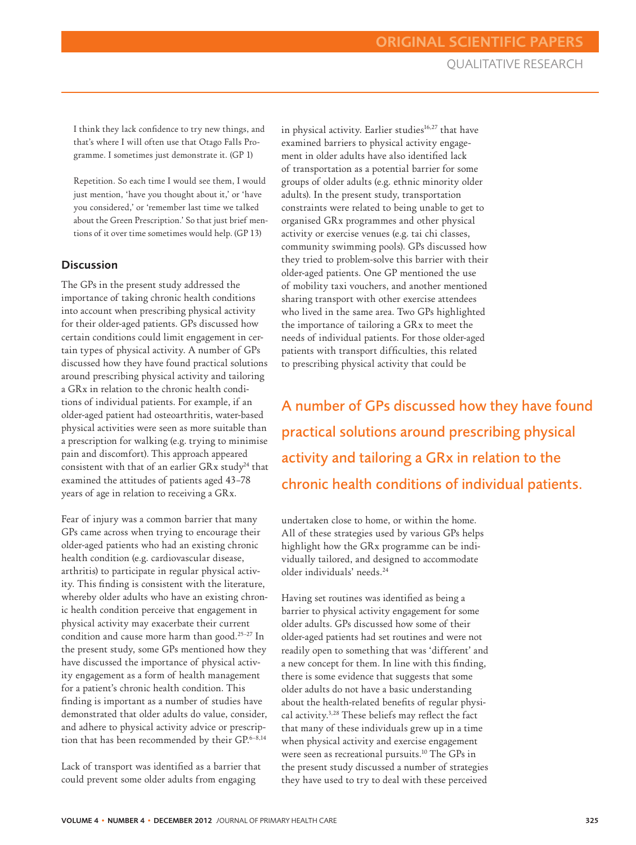I think they lack confidence to try new things, and that's where I will often use that Otago Falls Programme. I sometimes just demonstrate it. (GP 1)

Repetition. So each time I would see them, I would just mention, 'have you thought about it,' or 'have you considered,' or 'remember last time we talked about the Green Prescription.' So that just brief mentions of it over time sometimes would help. (GP 13)

## **Discussion**

The GPs in the present study addressed the importance of taking chronic health conditions into account when prescribing physical activity for their older-aged patients. GPs discussed how certain conditions could limit engagement in certain types of physical activity. A number of GPs discussed how they have found practical solutions around prescribing physical activity and tailoring a GRx in relation to the chronic health conditions of individual patients. For example, if an older-aged patient had osteoarthritis, water-based physical activities were seen as more suitable than a prescription for walking (e.g. trying to minimise pain and discomfort). This approach appeared consistent with that of an earlier GRx study<sup>24</sup> that examined the attitudes of patients aged 43–78 years of age in relation to receiving a GRx.

Fear of injury was a common barrier that many GPs came across when trying to encourage their older-aged patients who had an existing chronic health condition (e.g. cardiovascular disease, arthritis) to participate in regular physical activity. This finding is consistent with the literature, whereby older adults who have an existing chronic health condition perceive that engagement in physical activity may exacerbate their current condition and cause more harm than good.25–27 In the present study, some GPs mentioned how they have discussed the importance of physical activity engagement as a form of health management for a patient's chronic health condition. This finding is important as a number of studies have demonstrated that older adults do value, consider, and adhere to physical activity advice or prescription that has been recommended by their GP.<sup>6-8,14</sup>

Lack of transport was identified as a barrier that could prevent some older adults from engaging

in physical activity. Earlier studies<sup>16,27</sup> that have examined barriers to physical activity engagement in older adults have also identified lack of transportation as a potential barrier for some groups of older adults (e.g. ethnic minority older adults). In the present study, transportation constraints were related to being unable to get to organised GRx programmes and other physical activity or exercise venues (e.g. tai chi classes, community swimming pools). GPs discussed how they tried to problem-solve this barrier with their older-aged patients. One GP mentioned the use of mobility taxi vouchers, and another mentioned sharing transport with other exercise attendees who lived in the same area. Two GPs highlighted the importance of tailoring a GRx to meet the needs of individual patients. For those older-aged patients with transport difficulties, this related to prescribing physical activity that could be

A number of GPs discussed how they have found practical solutions around prescribing physical activity and tailoring a GRx in relation to the chronic health conditions of individual patients.

undertaken close to home, or within the home. All of these strategies used by various GPs helps highlight how the GRx programme can be individually tailored, and designed to accommodate older individuals' needs.24

Having set routines was identified as being a barrier to physical activity engagement for some older adults. GPs discussed how some of their older-aged patients had set routines and were not readily open to something that was 'different' and a new concept for them. In line with this finding, there is some evidence that suggests that some older adults do not have a basic understanding about the health-related benefits of regular physical activity.3,28 These beliefs may reflect the fact that many of these individuals grew up in a time when physical activity and exercise engagement were seen as recreational pursuits.<sup>10</sup> The GPs in the present study discussed a number of strategies they have used to try to deal with these perceived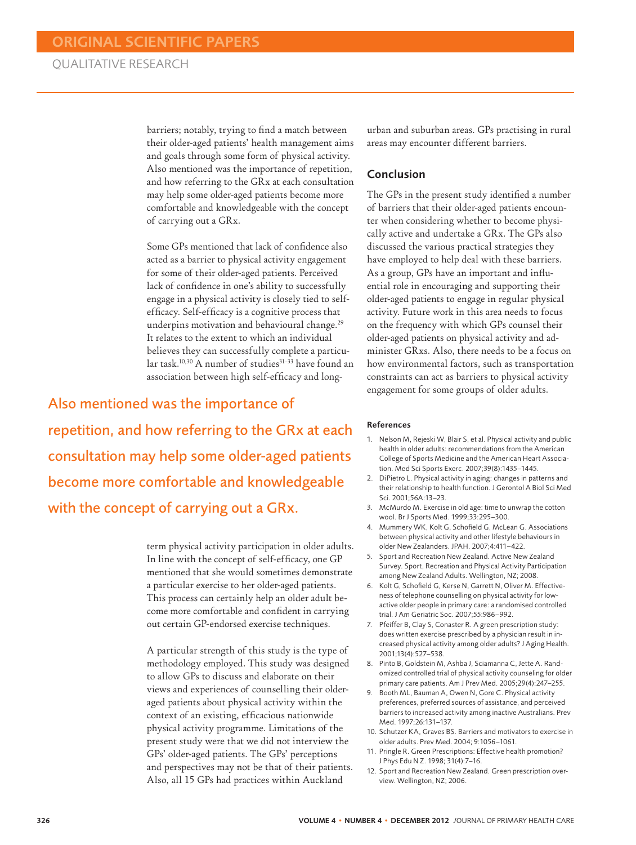barriers; notably, trying to find a match between their older-aged patients' health management aims and goals through some form of physical activity. Also mentioned was the importance of repetition, and how referring to the GRx at each consultation may help some older-aged patients become more comfortable and knowledgeable with the concept of carrying out a GRx.

Some GPs mentioned that lack of confidence also acted as a barrier to physical activity engagement for some of their older-aged patients. Perceived lack of confidence in one's ability to successfully engage in a physical activity is closely tied to selfefficacy. Self-efficacy is a cognitive process that underpins motivation and behavioural change.<sup>29</sup> It relates to the extent to which an individual believes they can successfully complete a particular task.<sup>10,30</sup> A number of studies<sup>31-33</sup> have found an association between high self-efficacy and long-

Also mentioned was the importance of repetition, and how referring to the GRx at each consultation may help some older-aged patients become more comfortable and knowledgeable with the concept of carrying out a GRx.

> term physical activity participation in older adults. In line with the concept of self-efficacy, one GP mentioned that she would sometimes demonstrate a particular exercise to her older-aged patients. This process can certainly help an older adult become more comfortable and confident in carrying out certain GP-endorsed exercise techniques.

> A particular strength of this study is the type of methodology employed. This study was designed to allow GPs to discuss and elaborate on their views and experiences of counselling their olderaged patients about physical activity within the context of an existing, efficacious nationwide physical activity programme. Limitations of the present study were that we did not interview the GPs' older-aged patients. The GPs' perceptions and perspectives may not be that of their patients. Also, all 15 GPs had practices within Auckland

urban and suburban areas. GPs practising in rural areas may encounter different barriers.

#### Conclusion

The GPs in the present study identified a number of barriers that their older-aged patients encounter when considering whether to become physically active and undertake a GRx. The GPs also discussed the various practical strategies they have employed to help deal with these barriers. As a group, GPs have an important and influential role in encouraging and supporting their older-aged patients to engage in regular physical activity. Future work in this area needs to focus on the frequency with which GPs counsel their older-aged patients on physical activity and administer GRxs. Also, there needs to be a focus on how environmental factors, such as transportation constraints can act as barriers to physical activity engagement for some groups of older adults.

#### References

- 1. Nelson M, Rejeski W, Blair S, et al. Physical activity and public health in older adults: recommendations from the American College of Sports Medicine and the American Heart Association. Med Sci Sports Exerc. 2007;39(8):1435–1445.
- 2. DiPietro L. Physical activity in aging: changes in patterns and their relationship to health function. J Gerontol A Biol Sci Med Sci. 2001;56A:13–23.
- 3. McMurdo M. Exercise in old age: time to unwrap the cotton wool. Br J Sports Med. 1999;33:295–300.
- 4. Mummery WK, Kolt G, Schofield G, McLean G. Associations between physical activity and other lifestyle behaviours in older New Zealanders. JPAH. 2007;4:411–422.
- 5. Sport and Recreation New Zealand. Active New Zealand Survey. Sport, Recreation and Physical Activity Participation among New Zealand Adults. Wellington, NZ; 2008.
- 6. Kolt G, Schofield G, Kerse N, Garrett N, Oliver M. Effectiveness of telephone counselling on physical activity for lowactive older people in primary care: a randomised controlled trial. J Am Geriatric Soc. 2007;55:986–992.
- 7. Pfeiffer B, Clay S, Conaster R. A green prescription study: does written exercise prescribed by a physician result in increased physical activity among older adults? J Aging Health. 2001;13(4):527–538.
- 8. Pinto B, Goldstein M, Ashba J, Sciamanna C, Jette A. Randomized controlled trial of physical activity counseling for older primary care patients. Am J Prev Med. 2005;29(4):247–255.
- 9. Booth ML, Bauman A, Owen N, Gore C. Physical activity preferences, preferred sources of assistance, and perceived barriers to increased activity among inactive Australians. Prev Med. 1997;26:131–137.
- 10. Schutzer KA, Graves BS. Barriers and motivators to exercise in older adults. Prev Med. 2004; 9:1056–1061.
- 11. Pringle R. Green Prescriptions: Effective health promotion? J Phys Edu N Z. 1998; 31(4):7–16.
- 12. Sport and Recreation New Zealand. Green prescription overview. Wellington, NZ; 2006.